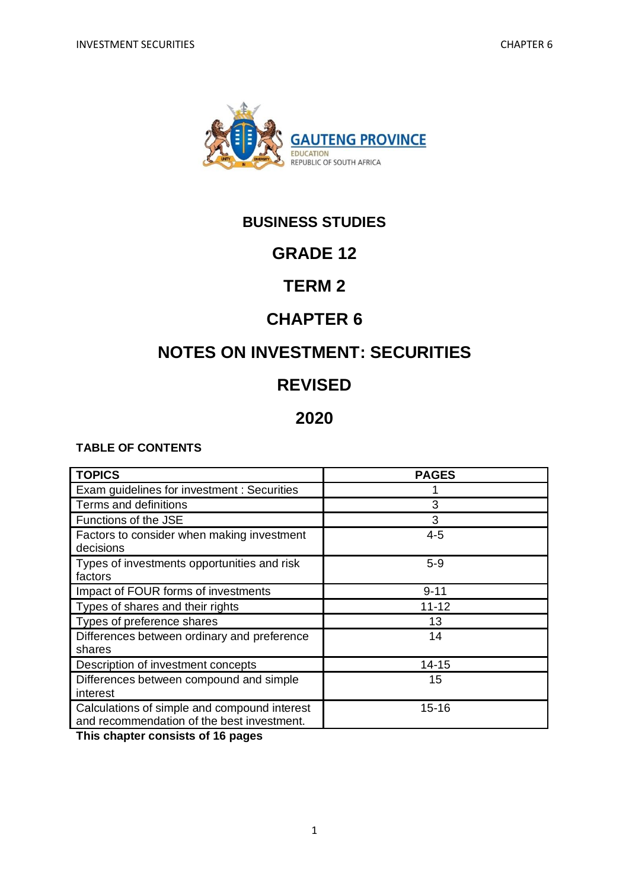

# **BUSINESS STUDIES**

# **GRADE 12**

# **TERM 2**

# **CHAPTER 6**

# **NOTES ON INVESTMENT: SECURITIES**

# **REVISED**

# **2020**

## **TABLE OF CONTENTS**

| <b>TOPICS</b>                                                                              | <b>PAGES</b> |
|--------------------------------------------------------------------------------------------|--------------|
| Exam guidelines for investment : Securities                                                |              |
| Terms and definitions                                                                      | 3            |
| Functions of the JSE                                                                       | 3            |
| Factors to consider when making investment<br>decisions                                    | $4 - 5$      |
| Types of investments opportunities and risk<br>factors                                     | $5-9$        |
| Impact of FOUR forms of investments                                                        | $9 - 11$     |
| Types of shares and their rights                                                           | $11 - 12$    |
| Types of preference shares                                                                 | 13           |
| Differences between ordinary and preference<br>shares                                      | 14           |
| Description of investment concepts                                                         | $14 - 15$    |
| Differences between compound and simple<br>interest                                        | 15           |
| Calculations of simple and compound interest<br>and recommendation of the best investment. | $15 - 16$    |

**This chapter consists of 16 pages**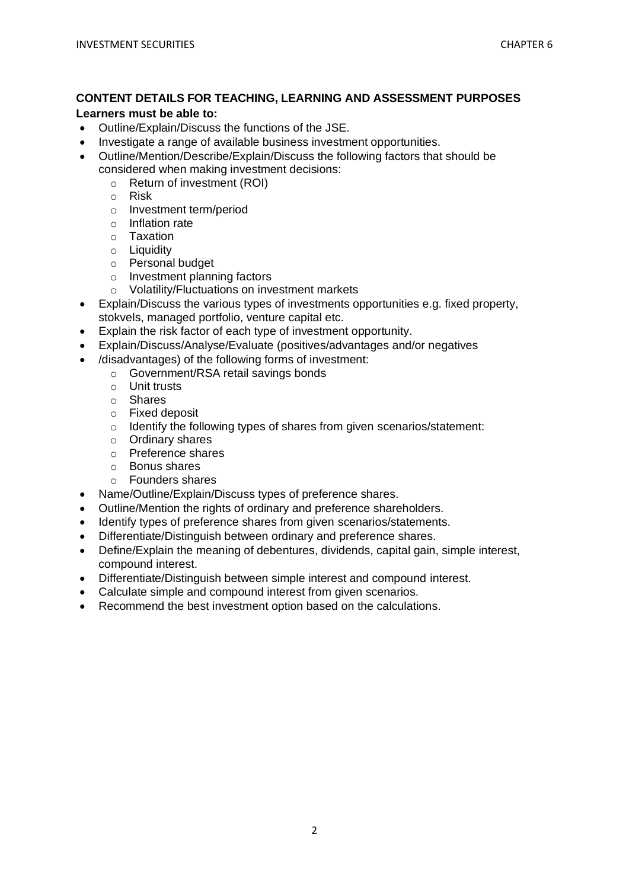### **CONTENT DETAILS FOR TEACHING, LEARNING AND ASSESSMENT PURPOSES**

#### **Learners must be able to:**

- Outline/Explain/Discuss the functions of the JSE.
- Investigate a range of available business investment opportunities.
- Outline/Mention/Describe/Explain/Discuss the following factors that should be considered when making investment decisions:
	- o Return of investment (ROI)
	- o Risk
	- o Investment term/period
	- o Inflation rate
	- o Taxation
	- o Liquidity
	- o Personal budget
	- o Investment planning factors
	- o Volatility/Fluctuations on investment markets
- Explain/Discuss the various types of investments opportunities e.g. fixed property, stokvels, managed portfolio, venture capital etc.
- Explain the risk factor of each type of investment opportunity.
- Explain/Discuss/Analyse/Evaluate (positives/advantages and/or negatives
- /disadvantages) of the following forms of investment:
	- o Government/RSA retail savings bonds
	- o Unit trusts
	- o Shares
	- o Fixed deposit
	- o Identify the following types of shares from given scenarios/statement:
	- o Ordinary shares
	- o Preference shares
	- o Bonus shares
	- o Founders shares
- Name/Outline/Explain/Discuss types of preference shares.
- Outline/Mention the rights of ordinary and preference shareholders.
- Identify types of preference shares from given scenarios/statements.
- Differentiate/Distinguish between ordinary and preference shares.
- Define/Explain the meaning of debentures, dividends, capital gain, simple interest, compound interest.
- Differentiate/Distinguish between simple interest and compound interest.
- Calculate simple and compound interest from given scenarios.
- Recommend the best investment option based on the calculations.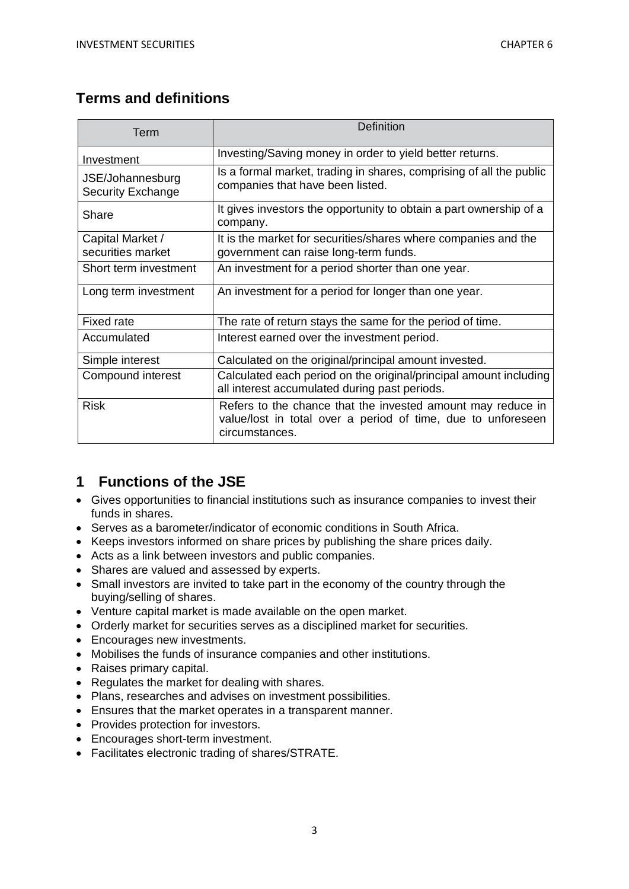## **Terms and definitions**

| Term                                         | <b>Definition</b>                                                                                                                             |
|----------------------------------------------|-----------------------------------------------------------------------------------------------------------------------------------------------|
| Investment                                   | Investing/Saving money in order to yield better returns.                                                                                      |
| JSE/Johannesburg<br><b>Security Exchange</b> | Is a formal market, trading in shares, comprising of all the public<br>companies that have been listed.                                       |
| Share                                        | It gives investors the opportunity to obtain a part ownership of a<br>company.                                                                |
| Capital Market /<br>securities market        | It is the market for securities/shares where companies and the<br>government can raise long-term funds.                                       |
| Short term investment                        | An investment for a period shorter than one year.                                                                                             |
| Long term investment                         | An investment for a period for longer than one year.                                                                                          |
| <b>Fixed rate</b>                            | The rate of return stays the same for the period of time.                                                                                     |
| Accumulated                                  | Interest earned over the investment period.                                                                                                   |
| Simple interest                              | Calculated on the original/principal amount invested.                                                                                         |
| Compound interest                            | Calculated each period on the original/principal amount including<br>all interest accumulated during past periods.                            |
| <b>Risk</b>                                  | Refers to the chance that the invested amount may reduce in<br>value/lost in total over a period of time, due to unforeseen<br>circumstances. |

## **1 Functions of the JSE**

- Gives opportunities to financial institutions such as insurance companies to invest their funds in shares.
- Serves as a barometer/indicator of economic conditions in South Africa.
- Keeps investors informed on share prices by publishing the share prices daily.
- Acts as a link between investors and public companies.
- Shares are valued and assessed by experts.
- Small investors are invited to take part in the economy of the country through the buying/selling of shares.
- Venture capital market is made available on the open market.
- Orderly market for securities serves as a disciplined market for securities.
- Encourages new investments.
- Mobilises the funds of insurance companies and other institutions.
- Raises primary capital.
- Regulates the market for dealing with shares.
- Plans, researches and advises on investment possibilities.
- Ensures that the market operates in a transparent manner.
- Provides protection for investors.
- Encourages short-term investment.
- Facilitates electronic trading of shares/STRATE.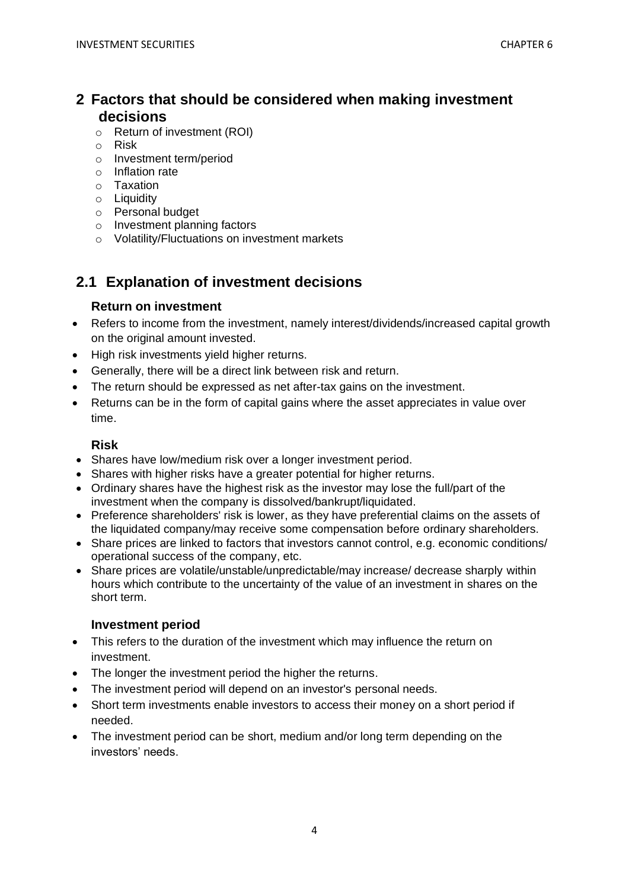## **2 Factors that should be considered when making investment decisions**

- o Return of investment (ROI)
- o Risk
- o Investment term/period
- o Inflation rate
- o Taxation
- o Liquidity
- o Personal budget
- o Investment planning factors
- o Volatility/Fluctuations on investment markets

## **2.1 Explanation of investment decisions**

## **Return on investment**

- Refers to income from the investment, namely interest/dividends/increased capital growth on the original amount invested.
- High risk investments yield higher returns.
- Generally, there will be a direct link between risk and return.
- The return should be expressed as net after-tax gains on the investment.
- Returns can be in the form of capital gains where the asset appreciates in value over time.

## **Risk**

- Shares have low/medium risk over a longer investment period.
- Shares with higher risks have a greater potential for higher returns.
- Ordinary shares have the highest risk as the investor may lose the full/part of the investment when the company is dissolved/bankrupt/liquidated.
- Preference shareholders' risk is lower, as they have preferential claims on the assets of the liquidated company/may receive some compensation before ordinary shareholders.
- Share prices are linked to factors that investors cannot control, e.g. economic conditions/ operational success of the company, etc.
- Share prices are volatile/unstable/unpredictable/may increase/ decrease sharply within hours which contribute to the uncertainty of the value of an investment in shares on the short term.

## **Investment period**

- This refers to the duration of the investment which may influence the return on investment.
- The longer the investment period the higher the returns.
- The investment period will depend on an investor's personal needs.
- Short term investments enable investors to access their money on a short period if needed.
- The investment period can be short, medium and/or long term depending on the investors' needs.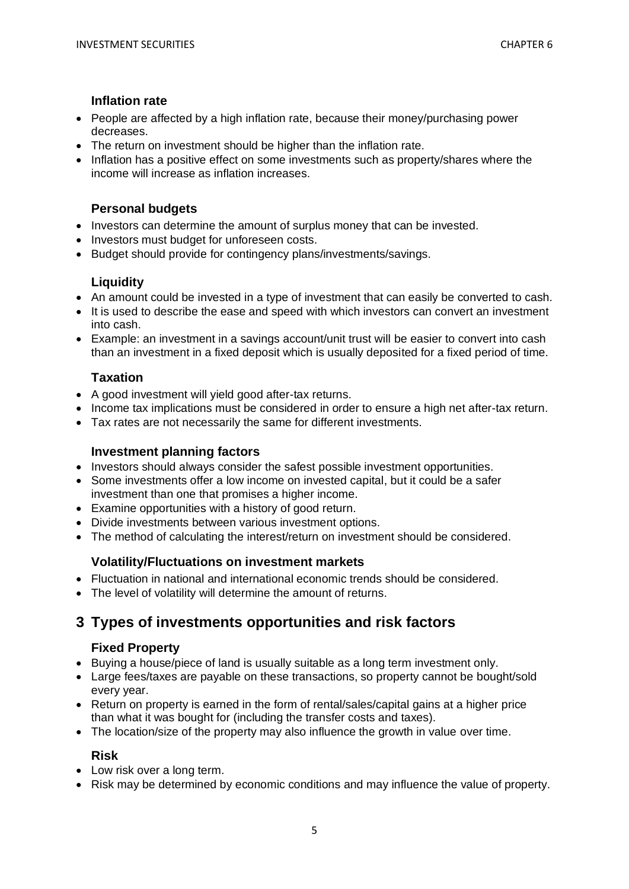### **Inflation rate**

- People are affected by a high inflation rate, because their money/purchasing power decreases.
- The return on investment should be higher than the inflation rate.
- Inflation has a positive effect on some investments such as property/shares where the income will increase as inflation increases.

### **Personal budgets**

- Investors can determine the amount of surplus money that can be invested.
- Investors must budget for unforeseen costs.
- Budget should provide for contingency plans/investments/savings.

### **Liquidity**

- An amount could be invested in a type of investment that can easily be converted to cash.
- It is used to describe the ease and speed with which investors can convert an investment into cash.
- Example: an investment in a savings account/unit trust will be easier to convert into cash than an investment in a fixed deposit which is usually deposited for a fixed period of time.

## **Taxation**

- A good investment will yield good after-tax returns.
- Income tax implications must be considered in order to ensure a high net after-tax return.
- Tax rates are not necessarily the same for different investments.

### **Investment planning factors**

- Investors should always consider the safest possible investment opportunities.
- Some investments offer a low income on invested capital, but it could be a safer investment than one that promises a higher income.
- Examine opportunities with a history of good return.
- Divide investments between various investment options.
- The method of calculating the interest/return on investment should be considered.

#### **Volatility/Fluctuations on investment markets**

- Fluctuation in national and international economic trends should be considered.
- The level of volatility will determine the amount of returns.

## **3 Types of investments opportunities and risk factors**

#### **Fixed Property**

- Buying a house/piece of land is usually suitable as a long term investment only.
- Large fees/taxes are payable on these transactions, so property cannot be bought/sold every year.
- Return on property is earned in the form of rental/sales/capital gains at a higher price than what it was bought for (including the transfer costs and taxes).
- The location/size of the property may also influence the growth in value over time.

#### **Risk**

- Low risk over a long term.
- Risk may be determined by economic conditions and may influence the value of property.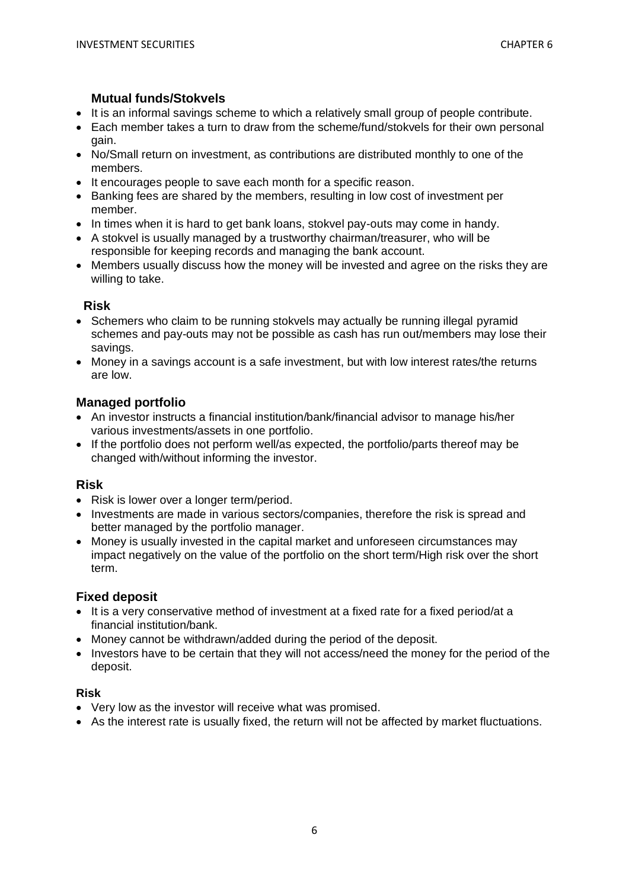### **Mutual funds/Stokvels**

- It is an informal savings scheme to which a relatively small group of people contribute.
- Each member takes a turn to draw from the scheme/fund/stokvels for their own personal gain.
- No/Small return on investment, as contributions are distributed monthly to one of the members.
- It encourages people to save each month for a specific reason.
- Banking fees are shared by the members, resulting in low cost of investment per member.
- In times when it is hard to get bank loans, stokvel pay-outs may come in handy.
- A stokvel is usually managed by a trustworthy chairman/treasurer, who will be responsible for keeping records and managing the bank account.
- Members usually discuss how the money will be invested and agree on the risks they are willing to take.

## **Risk**

- Schemers who claim to be running stokvels may actually be running illegal pyramid schemes and pay-outs may not be possible as cash has run out/members may lose their savings.
- Money in a savings account is a safe investment, but with low interest rates/the returns are low.

## **Managed portfolio**

- An investor instructs a financial institution/bank/financial advisor to manage his/her various investments/assets in one portfolio.
- If the portfolio does not perform well/as expected, the portfolio/parts thereof may be changed with/without informing the investor.

#### **Risk**

- Risk is lower over a longer term/period.
- Investments are made in various sectors/companies, therefore the risk is spread and better managed by the portfolio manager.
- Money is usually invested in the capital market and unforeseen circumstances may impact negatively on the value of the portfolio on the short term/High risk over the short term.

#### **Fixed deposit**

- It is a very conservative method of investment at a fixed rate for a fixed period/at a financial institution/bank.
- Money cannot be withdrawn/added during the period of the deposit.
- Investors have to be certain that they will not access/need the money for the period of the deposit.

#### **Risk**

- Very low as the investor will receive what was promised.
- As the interest rate is usually fixed, the return will not be affected by market fluctuations.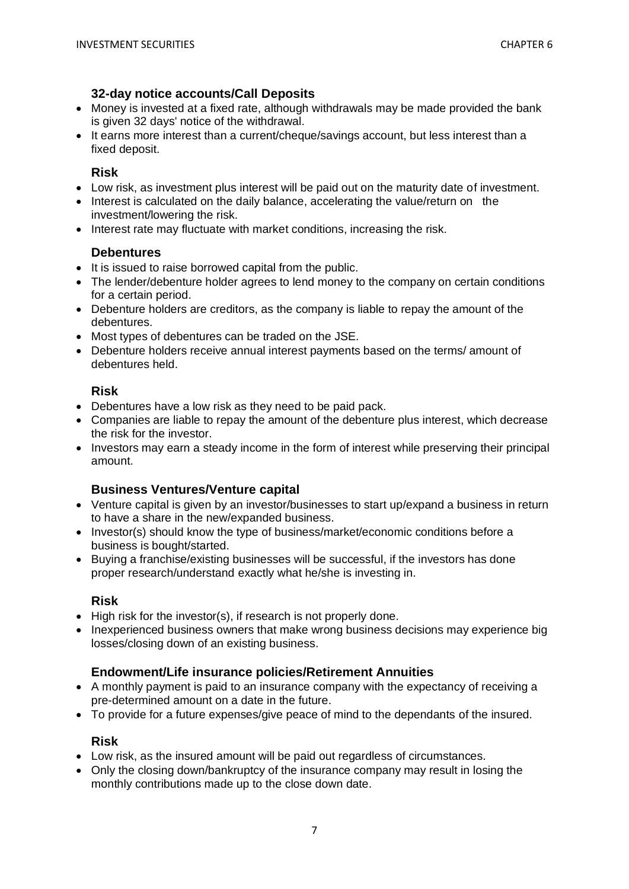### **32-day notice accounts/Call Deposits**

- Money is invested at a fixed rate, although withdrawals may be made provided the bank is given 32 days' notice of the withdrawal.
- It earns more interest than a current/cheque/savings account, but less interest than a fixed deposit.

#### **Risk**

- Low risk, as investment plus interest will be paid out on the maturity date of investment.
- Interest is calculated on the daily balance, accelerating the value/return on the investment/lowering the risk.
- Interest rate may fluctuate with market conditions, increasing the risk.

### **Debentures**

- It is issued to raise borrowed capital from the public.
- The lender/debenture holder agrees to lend money to the company on certain conditions for a certain period.
- Debenture holders are creditors, as the company is liable to repay the amount of the debentures.
- Most types of debentures can be traded on the JSE.
- Debenture holders receive annual interest payments based on the terms/ amount of debentures held.

### **Risk**

- Debentures have a low risk as they need to be paid pack.
- Companies are liable to repay the amount of the debenture plus interest, which decrease the risk for the investor.
- Investors may earn a steady income in the form of interest while preserving their principal amount.

## **Business Ventures/Venture capital**

- Venture capital is given by an investor/businesses to start up/expand a business in return to have a share in the new/expanded business.
- Investor(s) should know the type of business/market/economic conditions before a business is bought/started.
- Buying a franchise/existing businesses will be successful, if the investors has done proper research/understand exactly what he/she is investing in.

## **Risk**

- High risk for the investor(s), if research is not properly done.
- Inexperienced business owners that make wrong business decisions may experience big losses/closing down of an existing business.

#### **Endowment/Life insurance policies/Retirement Annuities**

- A monthly payment is paid to an insurance company with the expectancy of receiving a pre-determined amount on a date in the future.
- To provide for a future expenses/give peace of mind to the dependants of the insured.

#### **Risk**

- Low risk, as the insured amount will be paid out regardless of circumstances.
- Only the closing down/bankruptcy of the insurance company may result in losing the monthly contributions made up to the close down date.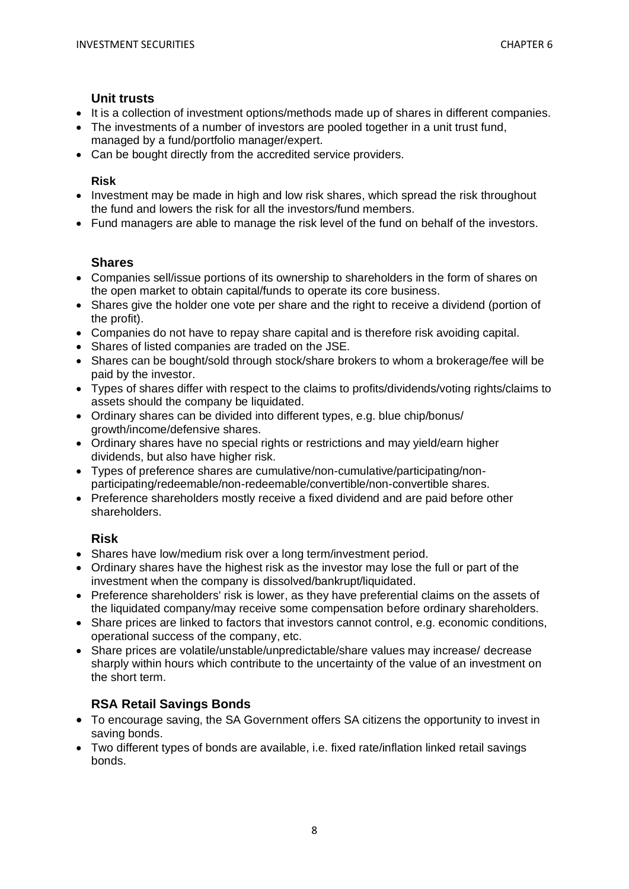#### **Unit trusts**

- It is a collection of investment options/methods made up of shares in different companies.
- The investments of a number of investors are pooled together in a unit trust fund, managed by a fund/portfolio manager/expert.
- Can be bought directly from the accredited service providers.

## **Risk**

- Investment may be made in high and low risk shares, which spread the risk throughout the fund and lowers the risk for all the investors/fund members.
- Fund managers are able to manage the risk level of the fund on behalf of the investors.

## **Shares**

- Companies sell/issue portions of its ownership to shareholders in the form of shares on the open market to obtain capital/funds to operate its core business.
- Shares give the holder one vote per share and the right to receive a dividend (portion of the profit).
- Companies do not have to repay share capital and is therefore risk avoiding capital.
- Shares of listed companies are traded on the JSE.
- Shares can be bought/sold through stock/share brokers to whom a brokerage/fee will be paid by the investor.
- Types of shares differ with respect to the claims to profits/dividends/voting rights/claims to assets should the company be liquidated.
- Ordinary shares can be divided into different types, e.g. blue chip/bonus/ growth/income/defensive shares.
- Ordinary shares have no special rights or restrictions and may yield/earn higher dividends, but also have higher risk.
- Types of preference shares are cumulative/non-cumulative/participating/nonparticipating/redeemable/non-redeemable/convertible/non-convertible shares.
- Preference shareholders mostly receive a fixed dividend and are paid before other shareholders.

## **Risk**

- Shares have low/medium risk over a long term/investment period.
- Ordinary shares have the highest risk as the investor may lose the full or part of the investment when the company is dissolved/bankrupt/liquidated.
- Preference shareholders' risk is lower, as they have preferential claims on the assets of the liquidated company/may receive some compensation before ordinary shareholders.
- Share prices are linked to factors that investors cannot control, e.g. economic conditions, operational success of the company, etc.
- Share prices are volatile/unstable/unpredictable/share values may increase/ decrease sharply within hours which contribute to the uncertainty of the value of an investment on the short term.

## **RSA Retail Savings Bonds**

- To encourage saving, the SA Government offers SA citizens the opportunity to invest in saving bonds.
- Two different types of bonds are available, i.e. fixed rate/inflation linked retail savings bonds.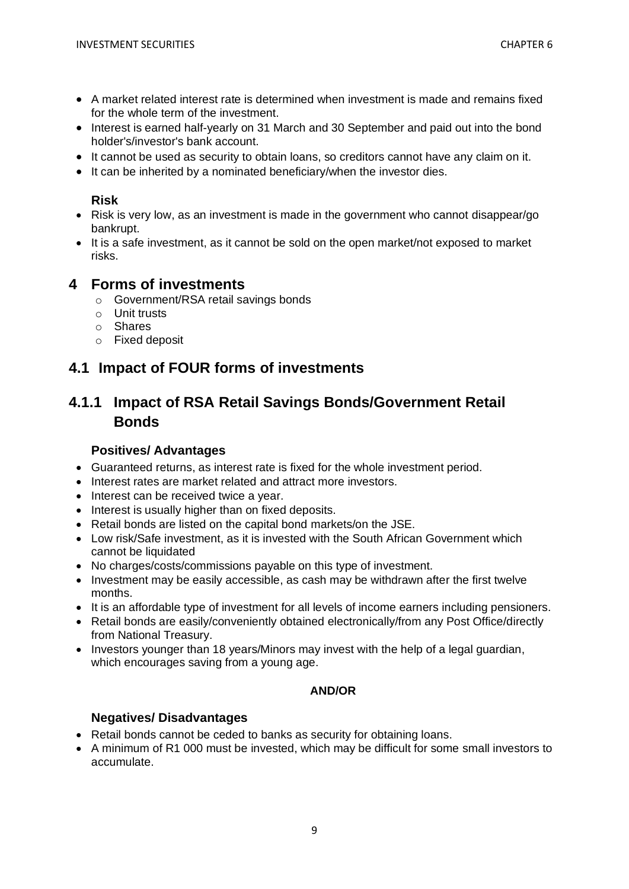- A market related interest rate is determined when investment is made and remains fixed for the whole term of the investment.
- Interest is earned half-yearly on 31 March and 30 September and paid out into the bond holder's/investor's bank account.
- It cannot be used as security to obtain loans, so creditors cannot have any claim on it.
- It can be inherited by a nominated beneficiary/when the investor dies.

## **Risk**

- Risk is very low, as an investment is made in the government who cannot disappear/go bankrupt.
- It is a safe investment, as it cannot be sold on the open market/not exposed to market risks.

## **4 Forms of investments**

- o Government/RSA retail savings bonds
- o Unit trusts
- o Shares
- o Fixed deposit

## **4.1 Impact of FOUR forms of investments**

## **4.1.1 Impact of RSA Retail Savings Bonds/Government Retail Bonds**

## **Positives/ Advantages**

- Guaranteed returns, as interest rate is fixed for the whole investment period.
- Interest rates are market related and attract more investors.
- Interest can be received twice a year.
- Interest is usually higher than on fixed deposits.
- Retail bonds are listed on the capital bond markets/on the JSE.
- Low risk/Safe investment, as it is invested with the South African Government which cannot be liquidated
- No charges/costs/commissions payable on this type of investment.
- Investment may be easily accessible, as cash may be withdrawn after the first twelve months.
- It is an affordable type of investment for all levels of income earners including pensioners.
- Retail bonds are easily/conveniently obtained electronically/from any Post Office/directly from National Treasury.
- Investors younger than 18 years/Minors may invest with the help of a legal guardian, which encourages saving from a young age.

## **AND/OR**

## **Negatives/ Disadvantages**

- Retail bonds cannot be ceded to banks as security for obtaining loans.
- A minimum of R1 000 must be invested, which may be difficult for some small investors to accumulate.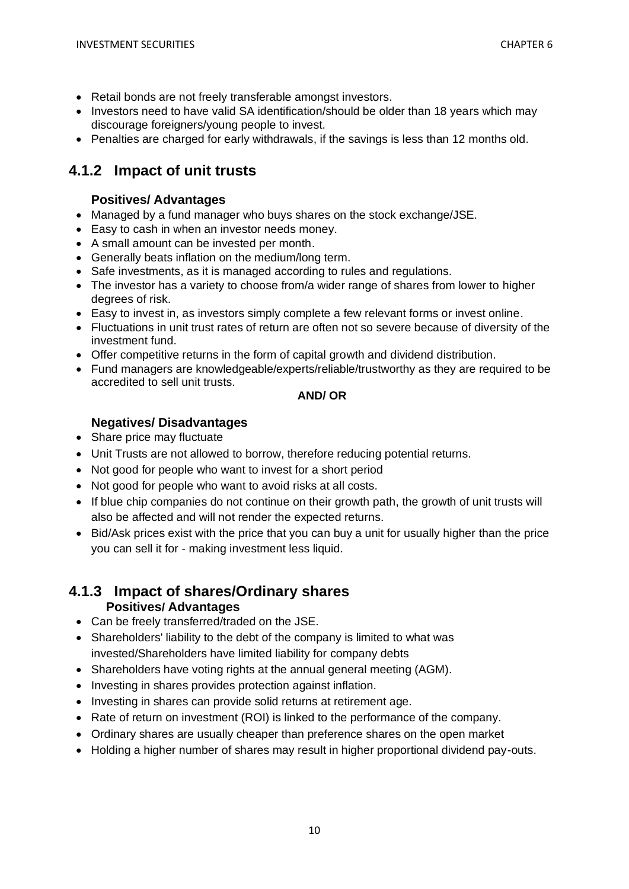- Retail bonds are not freely transferable amongst investors.
- Investors need to have valid SA identification/should be older than 18 years which may discourage foreigners/young people to invest.
- Penalties are charged for early withdrawals, if the savings is less than 12 months old.

## **4.1.2 Impact of unit trusts**

## **Positives/ Advantages**

- Managed by a fund manager who buys shares on the stock exchange/JSE.
- Easy to cash in when an investor needs money.
- A small amount can be invested per month.
- Generally beats inflation on the medium/long term.
- Safe investments, as it is managed according to rules and regulations.
- The investor has a variety to choose from/a wider range of shares from lower to higher degrees of risk.
- Easy to invest in, as investors simply complete a few relevant forms or invest online.
- Fluctuations in unit trust rates of return are often not so severe because of diversity of the investment fund.
- Offer competitive returns in the form of capital growth and dividend distribution.
- Fund managers are knowledgeable/experts/reliable/trustworthy as they are required to be accredited to sell unit trusts.

## **AND/ OR**

## **Negatives/ Disadvantages**

- Share price may fluctuate
- Unit Trusts are not allowed to borrow, therefore reducing potential returns.
- Not good for people who want to invest for a short period
- Not good for people who want to avoid risks at all costs.
- If blue chip companies do not continue on their growth path, the growth of unit trusts will also be affected and will not render the expected returns.
- Bid/Ask prices exist with the price that you can buy a unit for usually higher than the price you can sell it for - making investment less liquid.

### **4.1.3 Impact of shares/Ordinary shares Positives/ Advantages**

- Can be freely transferred/traded on the JSE.
- Shareholders' liability to the debt of the company is limited to what was invested/Shareholders have limited liability for company debts
- Shareholders have voting rights at the annual general meeting (AGM).
- Investing in shares provides protection against inflation.
- Investing in shares can provide solid returns at retirement age.
- Rate of return on investment (ROI) is linked to the performance of the company.
- Ordinary shares are usually cheaper than preference shares on the open market
- Holding a higher number of shares may result in higher proportional dividend pay-outs.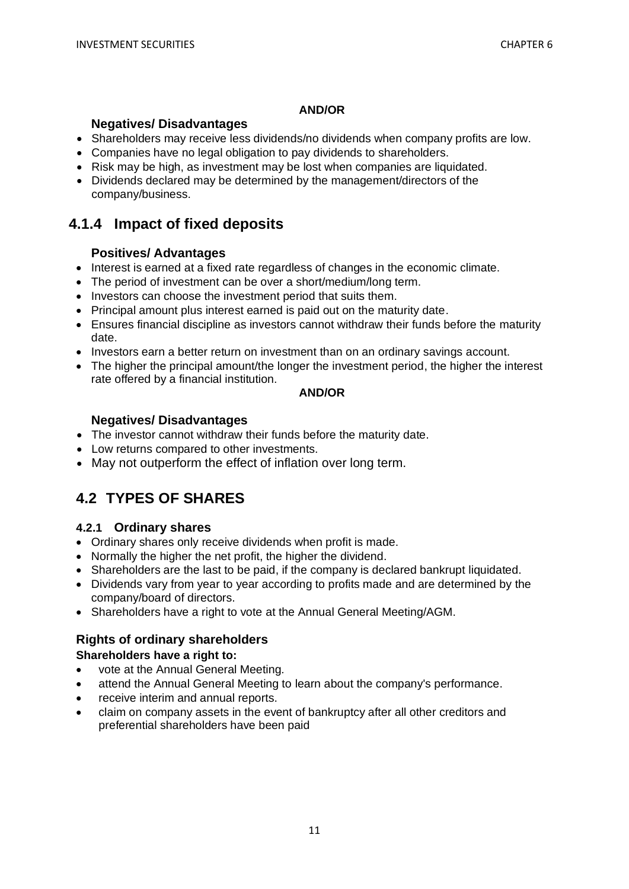### **AND/OR**

## **Negatives/ Disadvantages**

- Shareholders may receive less dividends/no dividends when company profits are low.
- Companies have no legal obligation to pay dividends to shareholders.
- Risk may be high, as investment may be lost when companies are liquidated.
- Dividends declared may be determined by the management/directors of the company/business.

## **4.1.4 Impact of fixed deposits**

## **Positives/ Advantages**

- Interest is earned at a fixed rate regardless of changes in the economic climate.
- The period of investment can be over a short/medium/long term.
- Investors can choose the investment period that suits them.
- Principal amount plus interest earned is paid out on the maturity date.
- Ensures financial discipline as investors cannot withdraw their funds before the maturity date.
- Investors earn a better return on investment than on an ordinary savings account.
- The higher the principal amount/the longer the investment period, the higher the interest rate offered by a financial institution.

### **AND/OR**

## **Negatives/ Disadvantages**

- The investor cannot withdraw their funds before the maturity date.
- Low returns compared to other investments.
- May not outperform the effect of inflation over long term.

# **4.2 TYPES OF SHARES**

## **4.2.1 Ordinary shares**

- Ordinary shares only receive dividends when profit is made.
- Normally the higher the net profit, the higher the dividend.
- Shareholders are the last to be paid, if the company is declared bankrupt liquidated.
- Dividends vary from year to year according to profits made and are determined by the company/board of directors.
- Shareholders have a right to vote at the Annual General Meeting/AGM.

## **Rights of ordinary shareholders**

## **Shareholders have a right to:**

- vote at the Annual General Meeting*.*
- attend the Annual General Meeting to learn about the company's performance.
- receive interim and annual reports.
- claim on company assets in the event of bankruptcy after all other creditors and preferential shareholders have been paid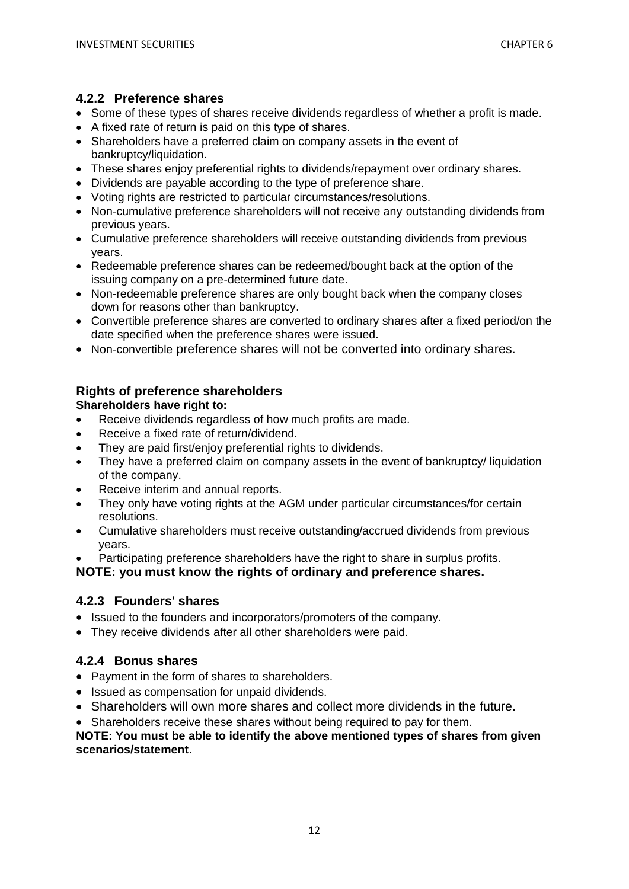### **4.2.2 Preference shares**

- Some of these types of shares receive dividends regardless of whether a profit is made.
- A fixed rate of return is paid on this type of shares.
- Shareholders have a preferred claim on company assets in the event of bankruptcy/liquidation.
- These shares enjoy preferential rights to dividends/repayment over ordinary shares.
- Dividends are payable according to the type of preference share.
- Voting rights are restricted to particular circumstances/resolutions.
- Non-cumulative preference shareholders will not receive any outstanding dividends from previous years.
- Cumulative preference shareholders will receive outstanding dividends from previous years.
- Redeemable preference shares can be redeemed/bought back at the option of the issuing company on a pre-determined future date.
- Non-redeemable preference shares are only bought back when the company closes down for reasons other than bankruptcy.
- Convertible preference shares are converted to ordinary shares after a fixed period/on the date specified when the preference shares were issued.
- Non-convertible preference shares will not be converted into ordinary shares.

#### **Rights of preference shareholders Shareholders have right to:**

- Receive dividends regardless of how much profits are made.
- Receive a fixed rate of return/dividend.
- They are paid first/enjoy preferential rights to dividends.
- They have a preferred claim on company assets in the event of bankruptcy/ liquidation of the company.
- Receive interim and annual reports.
- They only have voting rights at the AGM under particular circumstances/for certain resolutions.
- Cumulative shareholders must receive outstanding/accrued dividends from previous years.
- Participating preference shareholders have the right to share in surplus profits.

**NOTE: you must know the rights of ordinary and preference shares.**

## **4.2.3 Founders' shares**

- Issued to the founders and incorporators/promoters of the company.
- They receive dividends after all other shareholders were paid.

## **4.2.4 Bonus shares**

- Payment in the form of shares to shareholders.
- Issued as compensation for unpaid dividends.
- Shareholders will own more shares and collect more dividends in the future.
- Shareholders receive these shares without being required to pay for them.

### **NOTE: You must be able to identify the above mentioned types of shares from given scenarios/statement**.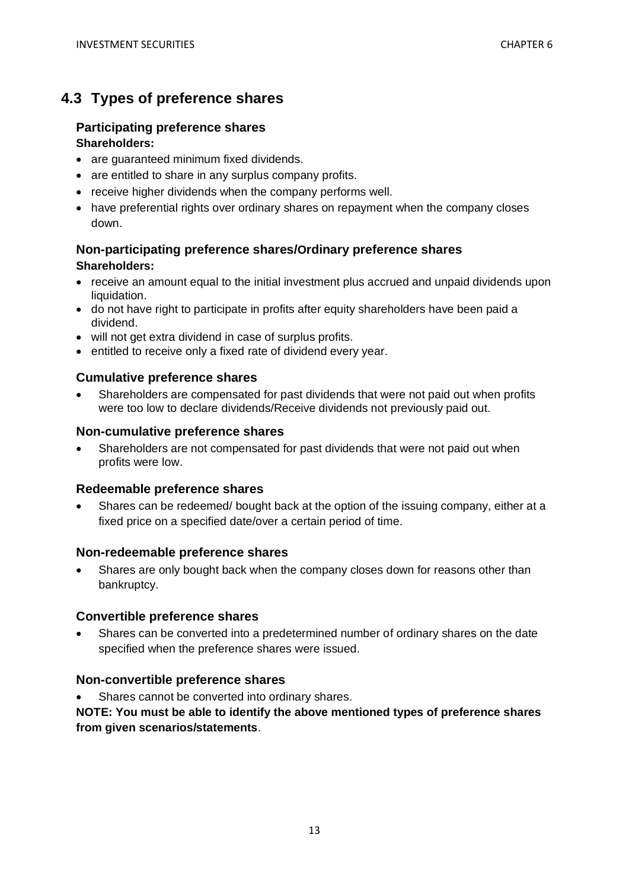## **4.3 Types of preference shares**

### **Participating preference shares Shareholders:**

- are guaranteed minimum fixed dividends.
- are entitled to share in any surplus company profits.
- receive higher dividends when the company performs well.
- have preferential rights over ordinary shares on repayment when the company closes down.

## **Non-participating preference shares/Ordinary preference shares Shareholders:**

- receive an amount equal to the initial investment plus accrued and unpaid dividends upon liquidation.
- do not have right to participate in profits after equity shareholders have been paid a dividend.
- will not get extra dividend in case of surplus profits.
- entitled to receive only a fixed rate of dividend every year.

## **Cumulative preference shares**

• Shareholders are compensated for past dividends that were not paid out when profits were too low to declare dividends/Receive dividends not previously paid out.

### **Non-cumulative preference shares**

• Shareholders are not compensated for past dividends that were not paid out when profits were low.

#### **Redeemable preference shares**

• Shares can be redeemed/ bought back at the option of the issuing company, either at a fixed price on a specified date/over a certain period of time.

#### **Non-redeemable preference shares**

• Shares are only bought back when the company closes down for reasons other than bankruptcy.

#### **Convertible preference shares**

• Shares can be converted into a predetermined number of ordinary shares on the date specified when the preference shares were issued.

## **Non-convertible preference shares**

Shares cannot be converted into ordinary shares.

**NOTE: You must be able to identify the above mentioned types of preference shares from given scenarios/statements**.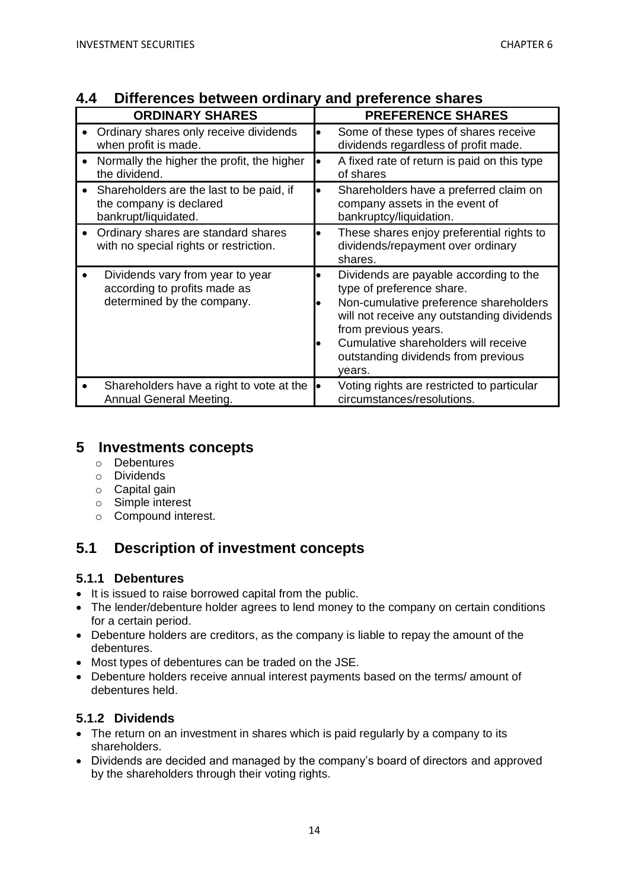| <b>ORDINARY SHARES</b>                                                                         | <b>PREFERENCE SHARES</b>                                                                                                                                                                                                                                                     |
|------------------------------------------------------------------------------------------------|------------------------------------------------------------------------------------------------------------------------------------------------------------------------------------------------------------------------------------------------------------------------------|
| Ordinary shares only receive dividends                                                         | Some of these types of shares receive                                                                                                                                                                                                                                        |
| when profit is made.                                                                           | dividends regardless of profit made.                                                                                                                                                                                                                                         |
| Normally the higher the profit, the higher                                                     | A fixed rate of return is paid on this type                                                                                                                                                                                                                                  |
| the dividend.                                                                                  | of shares                                                                                                                                                                                                                                                                    |
| Shareholders are the last to be paid, if                                                       | Shareholders have a preferred claim on                                                                                                                                                                                                                                       |
| the company is declared                                                                        | company assets in the event of                                                                                                                                                                                                                                               |
| bankrupt/liquidated.                                                                           | bankruptcy/liquidation.                                                                                                                                                                                                                                                      |
| Ordinary shares are standard shares<br>with no special rights or restriction.                  | These shares enjoy preferential rights to<br>dividends/repayment over ordinary<br>shares.                                                                                                                                                                                    |
| Dividends vary from year to year<br>according to profits made as<br>determined by the company. | Dividends are payable according to the<br>type of preference share.<br>Non-cumulative preference shareholders<br>will not receive any outstanding dividends<br>from previous years.<br>Cumulative shareholders will receive<br>outstanding dividends from previous<br>years. |
| Shareholders have a right to vote at the                                                       | Voting rights are restricted to particular                                                                                                                                                                                                                                   |
| Annual General Meeting.                                                                        | circumstances/resolutions.                                                                                                                                                                                                                                                   |

## **4.4 Differences between ordinary and preference shares**

## **5 Investments concepts**

- o Debentures
- o Dividends
- o Capital gain
- o Simple interest
- o Compound interest.

## **5.1 Description of investment concepts**

## **5.1.1 Debentures**

- It is issued to raise borrowed capital from the public.
- The lender/debenture holder agrees to lend money to the company on certain conditions for a certain period.
- Debenture holders are creditors, as the company is liable to repay the amount of the debentures.
- Most types of debentures can be traded on the JSE.
- Debenture holders receive annual interest payments based on the terms/ amount of debentures held.

## **5.1.2 Dividends**

- The return on an investment in shares which is paid regularly by a company to its shareholders.
- Dividends are decided and managed by the company's board of directors and approved by the shareholders through their voting rights.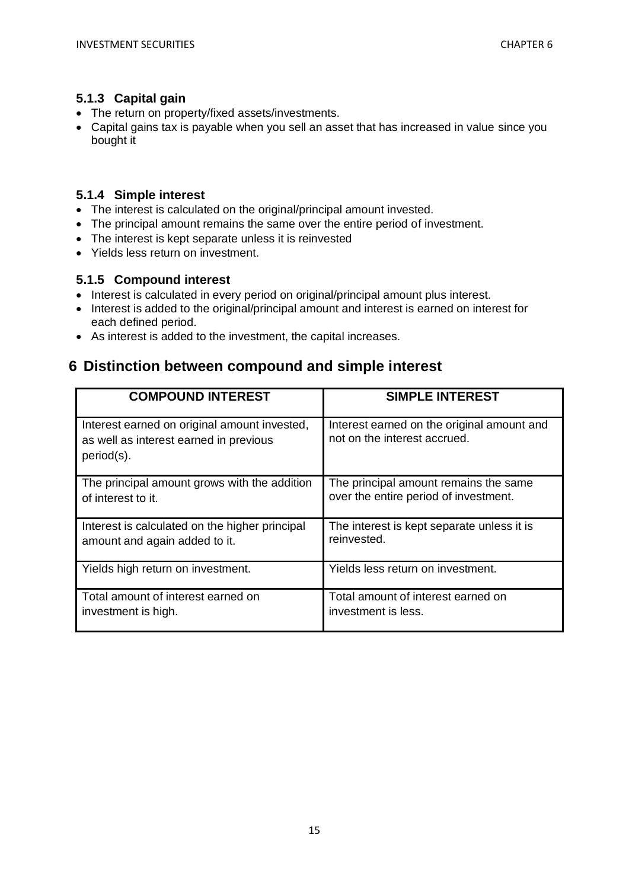## **5.1.3 Capital gain**

- The return on property/fixed assets/investments.
- Capital gains tax is payable when you sell an asset that has increased in value since you bought it

## **5.1.4 Simple interest**

- The interest is calculated on the original/principal amount invested.
- The principal amount remains the same over the entire period of investment.
- The interest is kept separate unless it is reinvested
- Yields less return on investment.

## **5.1.5 Compound interest**

- Interest is calculated in every period on original/principal amount plus interest.
- Interest is added to the original/principal amount and interest is earned on interest for each defined period.
- As interest is added to the investment, the capital increases.

## **6 Distinction between compound and simple interest**

| <b>COMPOUND INTEREST</b>                                                                             | <b>SIMPLE INTEREST</b>                                                     |
|------------------------------------------------------------------------------------------------------|----------------------------------------------------------------------------|
| Interest earned on original amount invested,<br>as well as interest earned in previous<br>period(s). | Interest earned on the original amount and<br>not on the interest accrued. |
| The principal amount grows with the addition                                                         | The principal amount remains the same                                      |
| of interest to it.                                                                                   | over the entire period of investment.                                      |
| Interest is calculated on the higher principal                                                       | The interest is kept separate unless it is                                 |
| amount and again added to it.                                                                        | reinvested.                                                                |
| Yields high return on investment.                                                                    | Yields less return on investment.                                          |
| Total amount of interest earned on                                                                   | Total amount of interest earned on                                         |
| investment is high.                                                                                  | investment is less.                                                        |